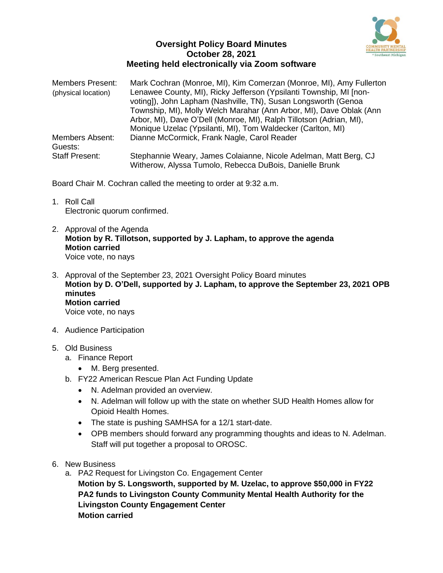

## **Oversight Policy Board Minutes October 28, 2021 Meeting held electronically via Zoom software**

| Members Present:      | Mark Cochran (Monroe, MI), Kim Comerzan (Monroe, MI), Amy Fullerton |
|-----------------------|---------------------------------------------------------------------|
| (physical location)   | Lenawee County, MI), Ricky Jefferson (Ypsilanti Township, MI [non-  |
|                       | voting]), John Lapham (Nashville, TN), Susan Longsworth (Genoa      |
|                       | Township, MI), Molly Welch Marahar (Ann Arbor, MI), Dave Oblak (Ann |
|                       | Arbor, MI), Dave O'Dell (Monroe, MI), Ralph Tillotson (Adrian, MI), |
|                       | Monique Uzelac (Ypsilanti, MI), Tom Waldecker (Carlton, MI)         |
| Members Absent:       | Dianne McCormick, Frank Nagle, Carol Reader                         |
| Guests:               |                                                                     |
| <b>Staff Present:</b> | Stephannie Weary, James Colaianne, Nicole Adelman, Matt Berg, CJ    |
|                       | Witherow, Alyssa Tumolo, Rebecca DuBois, Danielle Brunk             |

Board Chair M. Cochran called the meeting to order at 9:32 a.m.

- 1. Roll Call Electronic quorum confirmed.
- 2. Approval of the Agenda **Motion by R. Tillotson, supported by J. Lapham, to approve the agenda Motion carried** Voice vote, no nays
- 3. Approval of the September 23, 2021 Oversight Policy Board minutes **Motion by D. O'Dell, supported by J. Lapham, to approve the September 23, 2021 OPB minutes Motion carried** Voice vote, no nays
- 4. Audience Participation
- 5. Old Business
	- a. Finance Report
		- M. Berg presented.
	- b. FY22 American Rescue Plan Act Funding Update
		- N. Adelman provided an overview.
		- N. Adelman will follow up with the state on whether SUD Health Homes allow for Opioid Health Homes.
		- The state is pushing SAMHSA for a 12/1 start-date.
		- OPB members should forward any programming thoughts and ideas to N. Adelman. Staff will put together a proposal to OROSC.
- 6. New Business
	- a. PA2 Request for Livingston Co. Engagement Center **Motion by S. Longsworth, supported by M. Uzelac, to approve \$50,000 in FY22 PA2 funds to Livingston County Community Mental Health Authority for the Livingston County Engagement Center Motion carried**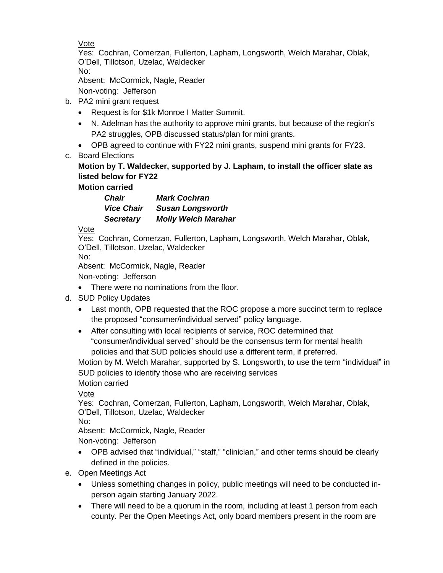Vote

Yes: Cochran, Comerzan, Fullerton, Lapham, Longsworth, Welch Marahar, Oblak, O'Dell, Tillotson, Uzelac, Waldecker No:

Absent: McCormick, Nagle, Reader

Non-voting: Jefferson

- b. PA2 mini grant request
	- Request is for \$1k Monroe I Matter Summit.
	- N. Adelman has the authority to approve mini grants, but because of the region's PA2 struggles, OPB discussed status/plan for mini grants.
	- OPB agreed to continue with FY22 mini grants, suspend mini grants for FY23.
- c. Board Elections

## **Motion by T. Waldecker, supported by J. Lapham, to install the officer slate as listed below for FY22**

**Motion carried**

*Chair Mark Cochran Vice Chair Susan Longsworth Secretary Molly Welch Marahar*

Vote

Yes: Cochran, Comerzan, Fullerton, Lapham, Longsworth, Welch Marahar, Oblak, O'Dell, Tillotson, Uzelac, Waldecker

No:

Absent: McCormick, Nagle, Reader

Non-voting: Jefferson

- There were no nominations from the floor.
- d. SUD Policy Updates
	- Last month, OPB requested that the ROC propose a more succinct term to replace the proposed "consumer/individual served" policy language.
	- After consulting with local recipients of service, ROC determined that "consumer/individual served" should be the consensus term for mental health policies and that SUD policies should use a different term, if preferred.

Motion by M. Welch Marahar, supported by S. Longsworth, to use the term "individual" in SUD policies to identify those who are receiving services

Motion carried

Vote

Yes: Cochran, Comerzan, Fullerton, Lapham, Longsworth, Welch Marahar, Oblak, O'Dell, Tillotson, Uzelac, Waldecker

No:

Absent: McCormick, Nagle, Reader

Non-voting: Jefferson

- OPB advised that "individual," "staff," "clinician," and other terms should be clearly defined in the policies.
- e. Open Meetings Act
	- Unless something changes in policy, public meetings will need to be conducted inperson again starting January 2022.
	- There will need to be a quorum in the room, including at least 1 person from each county. Per the Open Meetings Act, only board members present in the room are